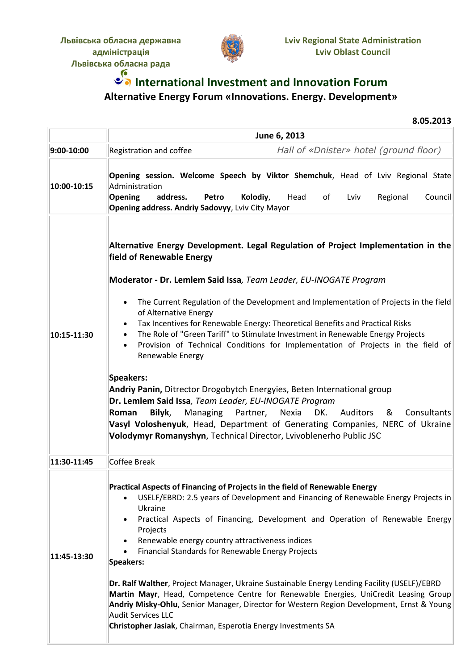

## *S* International Investment and Innovation Forum **Alternative Energy Forum «Innovations. Energy. Development»**

**8.05.2013**

|             | June 6, 2013                                                                                                                                                                                                                                                                                                                                                                                                             |
|-------------|--------------------------------------------------------------------------------------------------------------------------------------------------------------------------------------------------------------------------------------------------------------------------------------------------------------------------------------------------------------------------------------------------------------------------|
| 9:00-10:00  | Hall of «Dnister» hotel (ground floor)<br>Registration and coffee                                                                                                                                                                                                                                                                                                                                                        |
| 10:00-10:15 | Opening session. Welcome Speech by Viktor Shemchuk, Head of Lviv Regional State<br>Administration<br>Opening<br>address.<br>Kolodiy,<br>of<br>Council<br>Petro<br>Head<br>Lviv<br>Regional<br><b>Opening address. Andriy Sadovyy</b> , Lviv City Mayor                                                                                                                                                                   |
|             | Alternative Energy Development. Legal Regulation of Project Implementation in the<br>field of Renewable Energy<br>Moderator - Dr. Lemlem Said Issa, Team Leader, EU-INOGATE Program                                                                                                                                                                                                                                      |
| 10:15-11:30 | The Current Regulation of the Development and Implementation of Projects in the field<br>$\bullet$<br>of Alternative Energy<br>Tax Incentives for Renewable Energy: Theoretical Benefits and Practical Risks<br>The Role of "Green Tariff" to Stimulate Investment in Renewable Energy Projects<br>Provision of Technical Conditions for Implementation of Projects in the field of<br>$\bullet$<br>Renewable Energy     |
|             | Speakers:<br>Andriy Panin, Ditrector Drogobytch Energyies, Beten International group<br>Dr. Lemlem Said Issa, Team Leader, EU-INOGATE Program<br>Bilyk,<br>Managing Partner, Nexia<br>DK.<br><b>Auditors</b><br>Consultants<br>Roman<br>&<br>Vasyl Voloshenyuk, Head, Department of Generating Companies, NERC of Ukraine<br>Volodymyr Romanyshyn, Technical Director, Lvivoblenerho Public JSC                          |
| 11:30-11:45 | Coffee Break                                                                                                                                                                                                                                                                                                                                                                                                             |
| 11:45-13:30 | Practical Aspects of Financing of Projects in the field of Renewable Energy<br>USELF/EBRD: 2.5 years of Development and Financing of Renewable Energy Projects in<br>Ukraine<br>Practical Aspects of Financing, Development and Operation of Renewable Energy<br>Projects<br>Renewable energy country attractiveness indices<br>$\bullet$<br>Financial Standards for Renewable Energy Projects<br>$\bullet$<br>Speakers: |
|             | Dr. Ralf Walther, Project Manager, Ukraine Sustainable Energy Lending Facility (USELF)/EBRD<br>Martin Mayr, Head, Competence Centre for Renewable Energies, UniCredit Leasing Group<br>Andriy Misky-Ohlu, Senior Manager, Director for Western Region Development, Ernst & Young<br>Audit Services LLC<br>Christopher Jasiak, Chairman, Esperotia Energy Investments SA                                                  |